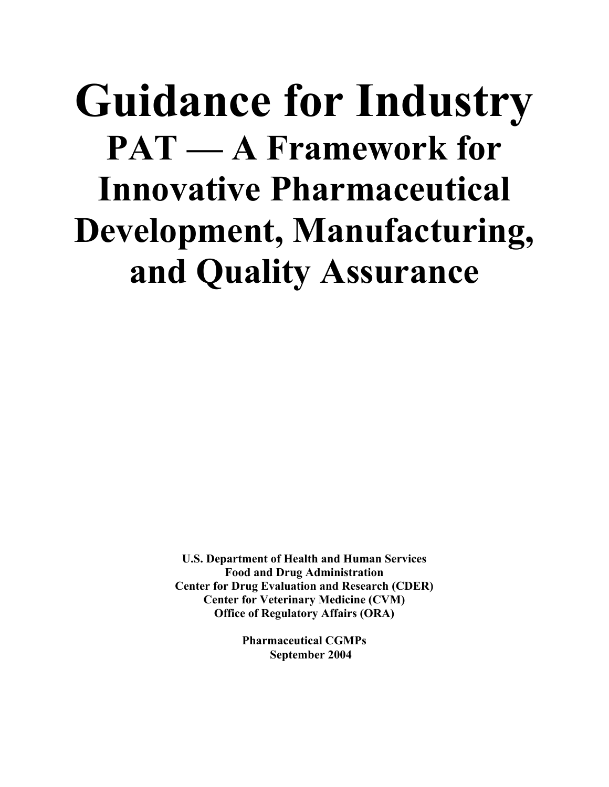# **Guidance for Industry PAT — A Framework for Innovative Pharmaceutical Development, Manufacturing, and Quality Assurance**

**U.S. Department of Health and Human Services Food and Drug Administration Center for Drug Evaluation and Research (CDER) Center for Veterinary Medicine (CVM) Office of Regulatory Affairs (ORA)** 

> **Pharmaceutical CGMPs September 2004**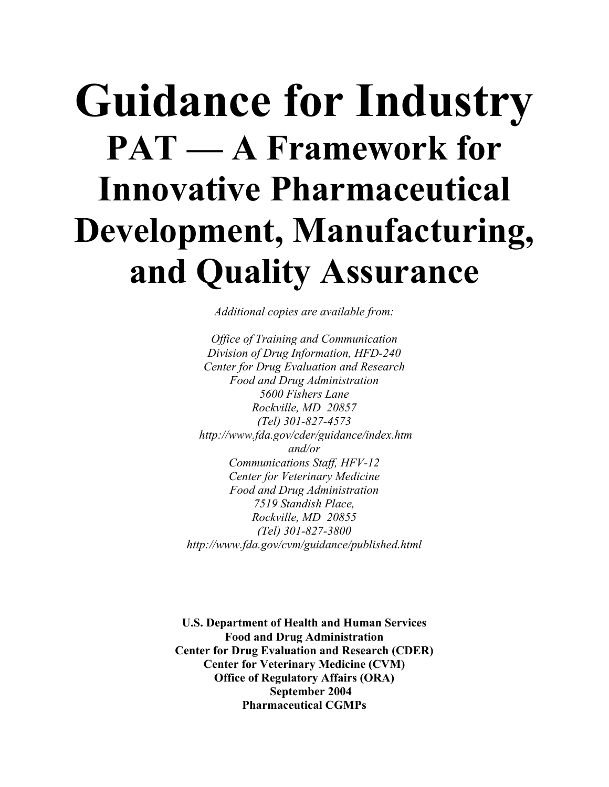# **Guidance for Industry PAT — A Framework for Innovative Pharmaceutical Development, Manufacturing, and Quality Assurance**

*Additional copies are available from:* 

*Office of Training and Communication Division of Drug Information, HFD-240 Center for Drug Evaluation and Research Food and Drug Administration 5600 Fishers Lane Rockville, MD 20857 (Tel) 301-827-4573 http://www.fda.gov/cder/guidance/index.htm and/or Communications Staff, HFV-12 Center for Veterinary Medicine Food and Drug Administration 7519 Standish Place, Rockville, MD 20855 (Tel) 301-827-3800 http://www.fda.gov/cvm/guidance/published.html* 

**U.S. Department of Health and Human Services Food and Drug Administration Center for Drug Evaluation and Research (CDER) Center for Veterinary Medicine (CVM) Office of Regulatory Affairs (ORA) September 2004 Pharmaceutical CGMPs**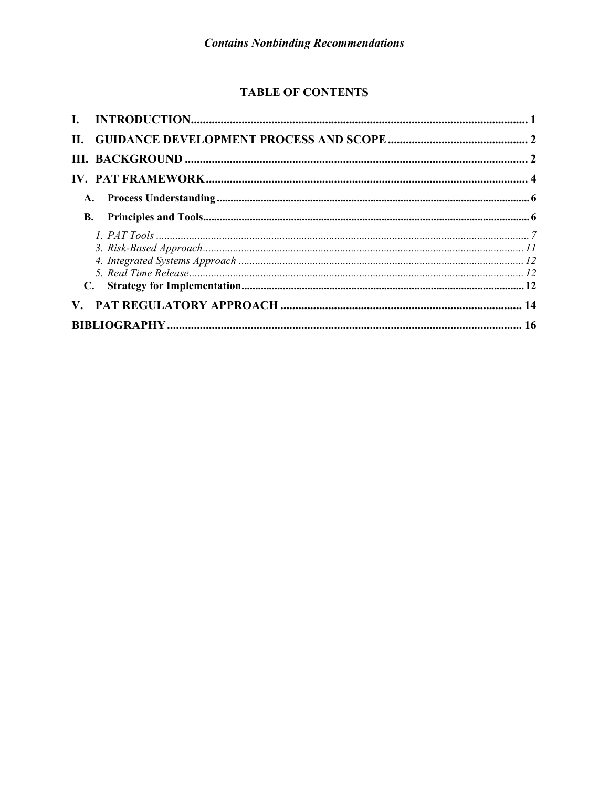# **TABLE OF CONTENTS**

| В. |  |  |  |
|----|--|--|--|
|    |  |  |  |
|    |  |  |  |
|    |  |  |  |
|    |  |  |  |
|    |  |  |  |
|    |  |  |  |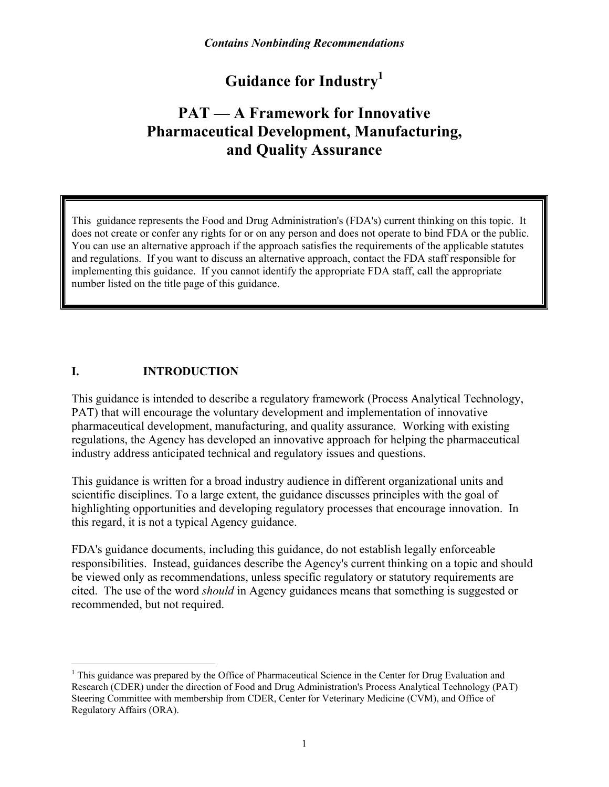# **Guidance for Industr[y1](#page-3-1)**

# <span id="page-3-0"></span>**PAT — A Framework for Innovative Pharmaceutical Development, Manufacturing, and Quality Assurance**

This guidance represents the Food and Drug Administration's (FDA's) current thinking on this topic. It does not create or confer any rights for or on any person and does not operate to bind FDA or the public. You can use an alternative approach if the approach satisfies the requirements of the applicable statutes and regulations. If you want to discuss an alternative approach, contact the FDA staff responsible for implementing this guidance. If you cannot identify the appropriate FDA staff, call the appropriate number listed on the title page of this guidance.

# **I. INTRODUCTION**

<u>.</u>

This guidance is intended to describe a regulatory framework (Process Analytical Technology, PAT) that will encourage the voluntary development and implementation of innovative pharmaceutical development, manufacturing, and quality assurance. Working with existing regulations, the Agency has developed an innovative approach for helping the pharmaceutical industry address anticipated technical and regulatory issues and questions.

This guidance is written for a broad industry audience in different organizational units and scientific disciplines. To a large extent, the guidance discusses principles with the goal of highlighting opportunities and developing regulatory processes that encourage innovation. In this regard, it is not a typical Agency guidance.

FDA's guidance documents, including this guidance, do not establish legally enforceable responsibilities. Instead, guidances describe the Agency's current thinking on a topic and should be viewed only as recommendations, unless specific regulatory or statutory requirements are cited. The use of the word *should* in Agency guidances means that something is suggested or recommended, but not required.

<span id="page-3-1"></span> $<sup>1</sup>$  This guidance was prepared by the Office of Pharmaceutical Science in the Center for Drug Evaluation and</sup> Research (CDER) under the direction of Food and Drug Administration's Process Analytical Technology (PAT) Steering Committee with membership from CDER, Center for Veterinary Medicine (CVM), and Office of Regulatory Affairs (ORA).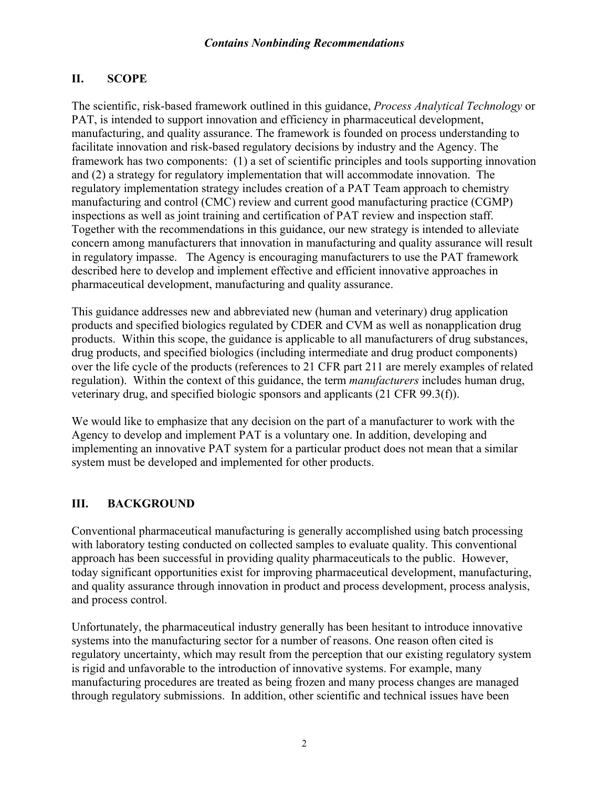# <span id="page-4-0"></span>**II. SCOPE**

The scientific, risk-based framework outlined in this guidance, *Process Analytical Technology* or PAT, is intended to support innovation and efficiency in pharmaceutical development, manufacturing, and quality assurance. The framework is founded on process understanding to facilitate innovation and risk-based regulatory decisions by industry and the Agency. The framework has two components: (1) a set of scientific principles and tools supporting innovation and (2) a strategy for regulatory implementation that will accommodate innovation. The regulatory implementation strategy includes creation of a PAT Team approach to chemistry manufacturing and control (CMC) review and current good manufacturing practice (CGMP) inspections as well as joint training and certification of PAT review and inspection staff. Together with the recommendations in this guidance, our new strategy is intended to alleviate concern among manufacturers that innovation in manufacturing and quality assurance will result in regulatory impasse. The Agency is encouraging manufacturers to use the PAT framework described here to develop and implement effective and efficient innovative approaches in pharmaceutical development, manufacturing and quality assurance.

This guidance addresses new and abbreviated new (human and veterinary) drug application products and specified biologics regulated by CDER and CVM as well as nonapplication drug products. Within this scope, the guidance is applicable to all manufacturers of drug substances, drug products, and specified biologics (including intermediate and drug product components) over the life cycle of the products (references to 21 CFR part 211 are merely examples of related regulation). Within the context of this guidance, the term *manufacturers* includes human drug, veterinary drug, and specified biologic sponsors and applicants (21 CFR 99.3(f)).

We would like to emphasize that any decision on the part of a manufacturer to work with the Agency to develop and implement PAT is a voluntary one. In addition, developing and implementing an innovative PAT system for a particular product does not mean that a similar system must be developed and implemented for other products.

# **III. BACKGROUND**

Conventional pharmaceutical manufacturing is generally accomplished using batch processing with laboratory testing conducted on collected samples to evaluate quality. This conventional approach has been successful in providing quality pharmaceuticals to the public. However, today significant opportunities exist for improving pharmaceutical development, manufacturing, and quality assurance through innovation in product and process development, process analysis, and process control.

Unfortunately, the pharmaceutical industry generally has been hesitant to introduce innovative systems into the manufacturing sector for a number of reasons. One reason often cited is regulatory uncertainty, which may result from the perception that our existing regulatory system is rigid and unfavorable to the introduction of innovative systems. For example, many manufacturing procedures are treated as being frozen and many process changes are managed through regulatory submissions. In addition, other scientific and technical issues have been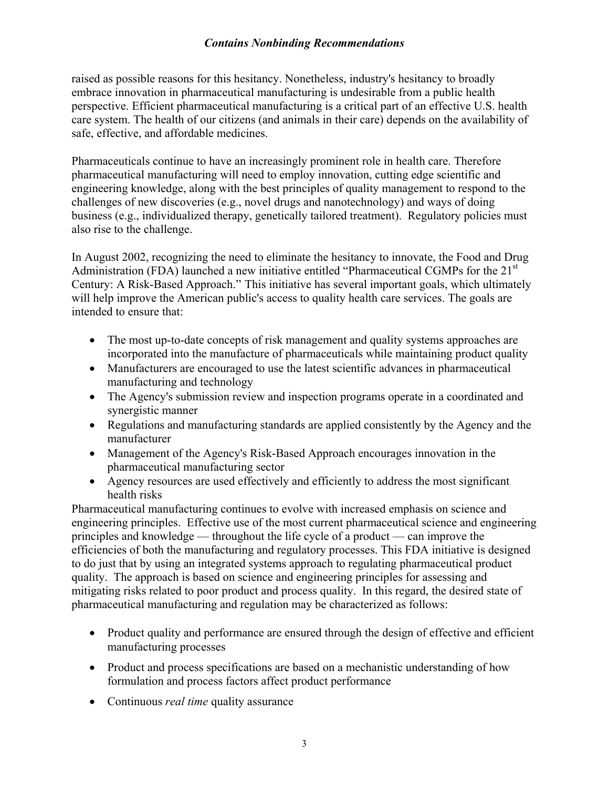raised as possible reasons for this hesitancy. Nonetheless, industry's hesitancy to broadly embrace innovation in pharmaceutical manufacturing is undesirable from a public health perspective. Efficient pharmaceutical manufacturing is a critical part of an effective U.S. health care system. The health of our citizens (and animals in their care) depends on the availability of safe, effective, and affordable medicines.

Pharmaceuticals continue to have an increasingly prominent role in health care. Therefore pharmaceutical manufacturing will need to employ innovation, cutting edge scientific and engineering knowledge, along with the best principles of quality management to respond to the challenges of new discoveries (e.g., novel drugs and nanotechnology) and ways of doing business (e.g., individualized therapy, genetically tailored treatment). Regulatory policies must also rise to the challenge.

In August 2002, recognizing the need to eliminate the hesitancy to innovate, the Food and Drug Administration (FDA) launched a new initiative entitled "Pharmaceutical CGMPs for the 21<sup>st</sup> Century: A Risk-Based Approach." This initiative has several important goals, which ultimately will help improve the American public's access to quality health care services. The goals are intended to ensure that:

- The most up-to-date concepts of risk management and quality systems approaches are incorporated into the manufacture of pharmaceuticals while maintaining product quality
- Manufacturers are encouraged to use the latest scientific advances in pharmaceutical manufacturing and technology
- The Agency's submission review and inspection programs operate in a coordinated and synergistic manner
- Regulations and manufacturing standards are applied consistently by the Agency and the manufacturer
- Management of the Agency's Risk-Based Approach encourages innovation in the pharmaceutical manufacturing sector
- Agency resources are used effectively and efficiently to address the most significant health risks

Pharmaceutical manufacturing continues to evolve with increased emphasis on science and engineering principles. Effective use of the most current pharmaceutical science and engineering principles and knowledge — throughout the life cycle of a product — can improve the efficiencies of both the manufacturing and regulatory processes. This FDA initiative is designed to do just that by using an integrated systems approach to regulating pharmaceutical product quality. The approach is based on science and engineering principles for assessing and mitigating risks related to poor product and process quality. In this regard, the desired state of pharmaceutical manufacturing and regulation may be characterized as follows:

- Product quality and performance are ensured through the design of effective and efficient manufacturing processes
- Product and process specifications are based on a mechanistic understanding of how formulation and process factors affect product performance
- Continuous *real time* quality assurance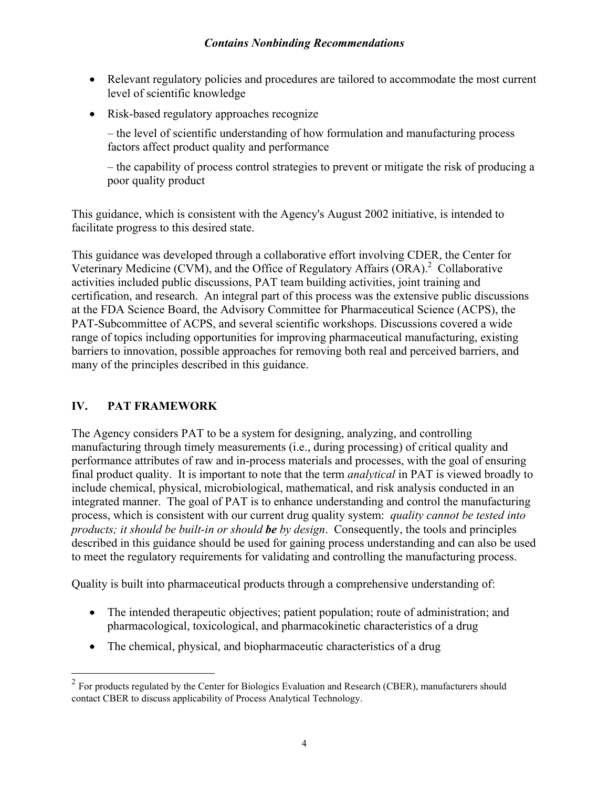- <span id="page-6-0"></span>• Relevant regulatory policies and procedures are tailored to accommodate the most current level of scientific knowledge
- Risk-based regulatory approaches recognize

– the level of scientific understanding of how formulation and manufacturing process factors affect product quality and performance

– the capability of process control strategies to prevent or mitigate the risk of producing a poor quality product

This guidance, which is consistent with the Agency's August 2002 initiative, is intended to facilitate progress to this desired state.

This guidance was developed through a collaborative effort involving CDER, the Center for Veterinary Medicine (CVM), and the Office of Regulatory Affairs  $(ORA)<sup>2</sup>$  Collaborative activities included public discussions, PAT team building activities, joint training and certification, and research. An integral part of this process was the extensive public discussions at the FDA Science Board, the Advisory Committee for Pharmaceutical Science (ACPS), the PAT-Subcommittee of ACPS, and several scientific workshops. Discussions covered a wide range of topics including opportunities for improving pharmaceutical manufacturing, existing barriers to innovation, possible approaches for removing both real and perceived barriers, and many of the principles described in this guidance.

# **IV. PAT FRAMEWORK**

 $\overline{a}$ 

The Agency considers PAT to be a system for designing, analyzing, and controlling manufacturing through timely measurements (i.e., during processing) of critical quality and performance attributes of raw and in-process materials and processes, with the goal of ensuring final product quality. It is important to note that the term *analytical* in PAT is viewed broadly to include chemical, physical, microbiological, mathematical, and risk analysis conducted in an integrated manner. The goal of PAT is to enhance understanding and control the manufacturing process, which is consistent with our current drug quality system: *quality cannot be tested into products; it should be built-in or should be by design*. Consequently, the tools and principles described in this guidance should be used for gaining process understanding and can also be used to meet the regulatory requirements for validating and controlling the manufacturing process.

Quality is built into pharmaceutical products through a comprehensive understanding of:

- The intended therapeutic objectives; patient population; route of administration; and pharmacological, toxicological, and pharmacokinetic characteristics of a drug
- The chemical, physical, and biopharmaceutic characteristics of a drug

<span id="page-6-1"></span> $2^2$  For products regulated by the Center for Biologics Evaluation and Research (CBER), manufacturers should contact CBER to discuss applicability of Process Analytical Technology.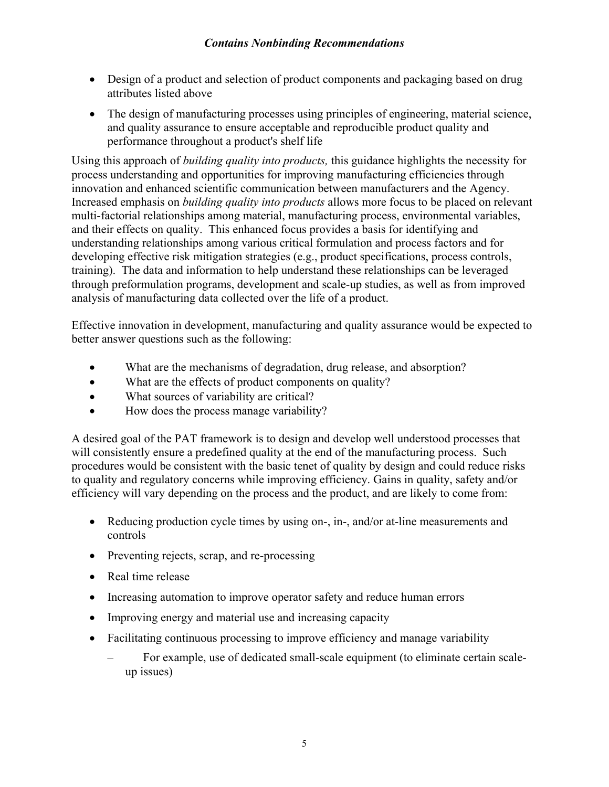- Design of a product and selection of product components and packaging based on drug attributes listed above
- The design of manufacturing processes using principles of engineering, material science, and quality assurance to ensure acceptable and reproducible product quality and performance throughout a product's shelf life

Using this approach of *building quality into products,* this guidance highlights the necessity for process understanding and opportunities for improving manufacturing efficiencies through innovation and enhanced scientific communication between manufacturers and the Agency. Increased emphasis on *building quality into products* allows more focus to be placed on relevant multi-factorial relationships among material, manufacturing process, environmental variables, and their effects on quality. This enhanced focus provides a basis for identifying and understanding relationships among various critical formulation and process factors and for developing effective risk mitigation strategies (e.g., product specifications, process controls, training). The data and information to help understand these relationships can be leveraged through preformulation programs, development and scale-up studies, as well as from improved analysis of manufacturing data collected over the life of a product.

Effective innovation in development, manufacturing and quality assurance would be expected to better answer questions such as the following:

- What are the mechanisms of degradation, drug release, and absorption?
- What are the effects of product components on quality?
- What sources of variability are critical?
- How does the process manage variability?

A desired goal of the PAT framework is to design and develop well understood processes that will consistently ensure a predefined quality at the end of the manufacturing process. Such procedures would be consistent with the basic tenet of quality by design and could reduce risks to quality and regulatory concerns while improving efficiency. Gains in quality, safety and/or efficiency will vary depending on the process and the product, and are likely to come from:

- Reducing production cycle times by using on-, in-, and/or at-line measurements and controls
- Preventing rejects, scrap, and re-processing
- Real time release
- Increasing automation to improve operator safety and reduce human errors
- Improving energy and material use and increasing capacity
- Facilitating continuous processing to improve efficiency and manage variability
	- For example, use of dedicated small-scale equipment (to eliminate certain scaleup issues)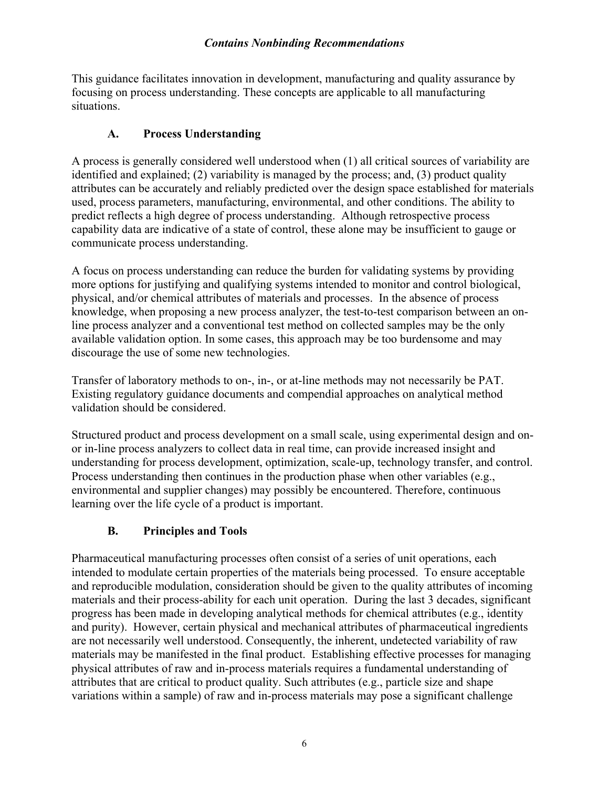<span id="page-8-0"></span>This guidance facilitates innovation in development, manufacturing and quality assurance by focusing on process understanding. These concepts are applicable to all manufacturing situations.

# **A. Process Understanding**

A process is generally considered well understood when (1) all critical sources of variability are identified and explained; (2) variability is managed by the process; and, (3) product quality attributes can be accurately and reliably predicted over the design space established for materials used, process parameters, manufacturing, environmental, and other conditions. The ability to predict reflects a high degree of process understanding. Although retrospective process capability data are indicative of a state of control, these alone may be insufficient to gauge or communicate process understanding.

A focus on process understanding can reduce the burden for validating systems by providing more options for justifying and qualifying systems intended to monitor and control biological, physical, and/or chemical attributes of materials and processes. In the absence of process knowledge, when proposing a new process analyzer, the test-to-test comparison between an online process analyzer and a conventional test method on collected samples may be the only available validation option. In some cases, this approach may be too burdensome and may discourage the use of some new technologies.

Transfer of laboratory methods to on-, in-, or at-line methods may not necessarily be PAT. Existing regulatory guidance documents and compendial approaches on analytical method validation should be considered.

Structured product and process development on a small scale, using experimental design and onor in-line process analyzers to collect data in real time, can provide increased insight and understanding for process development, optimization, scale-up, technology transfer, and control. Process understanding then continues in the production phase when other variables (e.g., environmental and supplier changes) may possibly be encountered. Therefore, continuous learning over the life cycle of a product is important.

# **B. Principles and Tools**

Pharmaceutical manufacturing processes often consist of a series of unit operations, each intended to modulate certain properties of the materials being processed. To ensure acceptable and reproducible modulation, consideration should be given to the quality attributes of incoming materials and their process-ability for each unit operation. During the last 3 decades, significant progress has been made in developing analytical methods for chemical attributes (e.g., identity and purity). However, certain physical and mechanical attributes of pharmaceutical ingredients are not necessarily well understood. Consequently, the inherent, undetected variability of raw materials may be manifested in the final product. Establishing effective processes for managing physical attributes of raw and in-process materials requires a fundamental understanding of attributes that are critical to product quality. Such attributes (e.g., particle size and shape variations within a sample) of raw and in-process materials may pose a significant challenge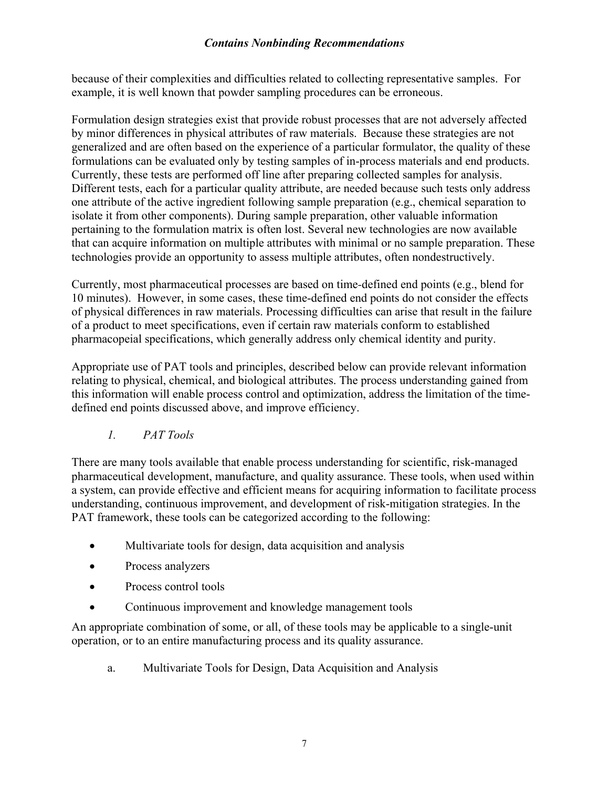<span id="page-9-0"></span>because of their complexities and difficulties related to collecting representative samples. For example, it is well known that powder sampling procedures can be erroneous.

Formulation design strategies exist that provide robust processes that are not adversely affected by minor differences in physical attributes of raw materials. Because these strategies are not generalized and are often based on the experience of a particular formulator, the quality of these formulations can be evaluated only by testing samples of in-process materials and end products. Currently, these tests are performed off line after preparing collected samples for analysis. Different tests, each for a particular quality attribute, are needed because such tests only address one attribute of the active ingredient following sample preparation (e.g., chemical separation to isolate it from other components). During sample preparation, other valuable information pertaining to the formulation matrix is often lost. Several new technologies are now available that can acquire information on multiple attributes with minimal or no sample preparation. These technologies provide an opportunity to assess multiple attributes, often nondestructively.

Currently, most pharmaceutical processes are based on time*-*defined end points (e.g., blend for 10 minutes). However, in some cases, these time-defined end points do not consider the effects of physical differences in raw materials. Processing difficulties can arise that result in the failure of a product to meet specifications, even if certain raw materials conform to established pharmacopeial specifications, which generally address only chemical identity and purity.

Appropriate use of PAT tools and principles, described below can provide relevant information relating to physical, chemical, and biological attributes. The process understanding gained from this information will enable process control and optimization, address the limitation of the timedefined end points discussed above, and improve efficiency.

*1. PAT Tools* 

There are many tools available that enable process understanding for scientific, risk-managed pharmaceutical development, manufacture, and quality assurance. These tools, when used within a system, can provide effective and efficient means for acquiring information to facilitate process understanding, continuous improvement, and development of risk-mitigation strategies. In the PAT framework, these tools can be categorized according to the following:

- Multivariate tools for design, data acquisition and analysis
- Process analyzers
- Process control tools
- Continuous improvement and knowledge management tools

An appropriate combination of some, or all, of these tools may be applicable to a single-unit operation, or to an entire manufacturing process and its quality assurance.

a. Multivariate Tools for Design, Data Acquisition and Analysis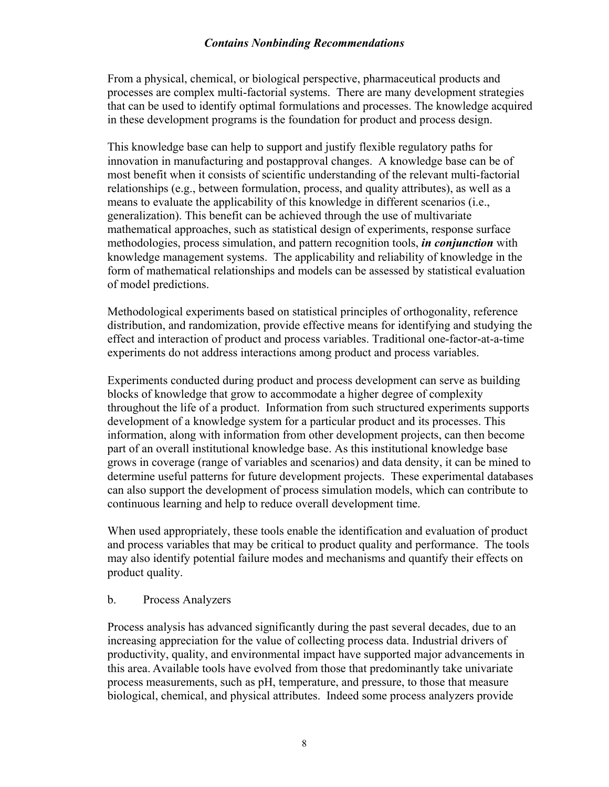From a physical, chemical, or biological perspective, pharmaceutical products and processes are complex multi-factorial systems. There are many development strategies that can be used to identify optimal formulations and processes. The knowledge acquired in these development programs is the foundation for product and process design.

This knowledge base can help to support and justify flexible regulatory paths for innovation in manufacturing and postapproval changes. A knowledge base can be of most benefit when it consists of scientific understanding of the relevant multi-factorial relationships (e.g., between formulation, process, and quality attributes), as well as a means to evaluate the applicability of this knowledge in different scenarios (i.e., generalization). This benefit can be achieved through the use of multivariate mathematical approaches, such as statistical design of experiments, response surface methodologies, process simulation, and pattern recognition tools, *in conjunction* with knowledge management systems. The applicability and reliability of knowledge in the form of mathematical relationships and models can be assessed by statistical evaluation of model predictions.

Methodological experiments based on statistical principles of orthogonality, reference distribution, and randomization, provide effective means for identifying and studying the effect and interaction of product and process variables. Traditional one-factor-at-a-time experiments do not address interactions among product and process variables.

Experiments conducted during product and process development can serve as building blocks of knowledge that grow to accommodate a higher degree of complexity throughout the life of a product. Information from such structured experiments supports development of a knowledge system for a particular product and its processes. This information, along with information from other development projects, can then become part of an overall institutional knowledge base. As this institutional knowledge base grows in coverage (range of variables and scenarios) and data density, it can be mined to determine useful patterns for future development projects. These experimental databases can also support the development of process simulation models, which can contribute to continuous learning and help to reduce overall development time.

When used appropriately, these tools enable the identification and evaluation of product and process variables that may be critical to product quality and performance. The tools may also identify potential failure modes and mechanisms and quantify their effects on product quality.

#### b. Process Analyzers

Process analysis has advanced significantly during the past several decades, due to an increasing appreciation for the value of collecting process data. Industrial drivers of productivity, quality, and environmental impact have supported major advancements in this area. Available tools have evolved from those that predominantly take univariate process measurements, such as pH, temperature, and pressure, to those that measure biological, chemical, and physical attributes. Indeed some process analyzers provide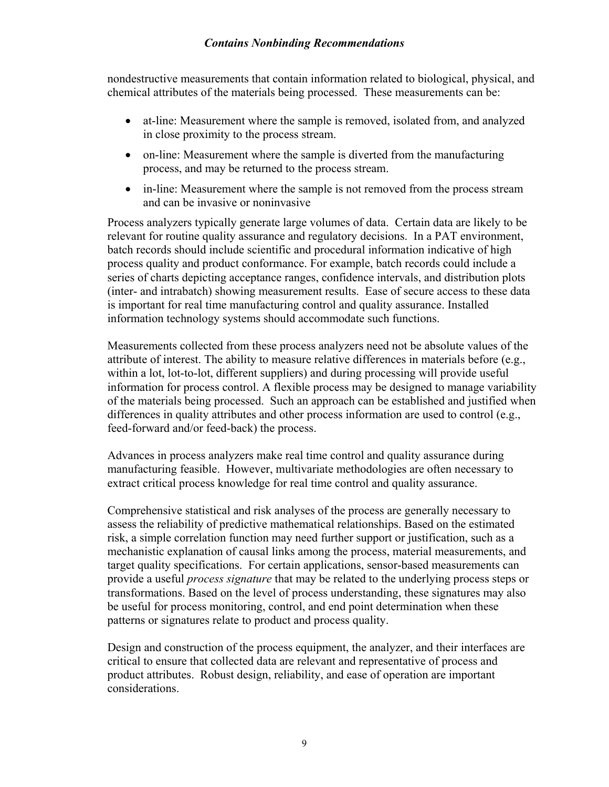nondestructive measurements that contain information related to biological, physical, and chemical attributes of the materials being processed. These measurements can be:

- at-line: Measurement where the sample is removed, isolated from, and analyzed in close proximity to the process stream.
- on-line: Measurement where the sample is diverted from the manufacturing process, and may be returned to the process stream.
- in-line: Measurement where the sample is not removed from the process stream and can be invasive or noninvasive

Process analyzers typically generate large volumes of data. Certain data are likely to be relevant for routine quality assurance and regulatory decisions. In a PAT environment, batch records should include scientific and procedural information indicative of high process quality and product conformance. For example, batch records could include a series of charts depicting acceptance ranges, confidence intervals, and distribution plots (inter- and intrabatch) showing measurement results. Ease of secure access to these data is important for real time manufacturing control and quality assurance. Installed information technology systems should accommodate such functions.

Measurements collected from these process analyzers need not be absolute values of the attribute of interest. The ability to measure relative differences in materials before (e.g., within a lot, lot-to-lot, different suppliers) and during processing will provide useful information for process control. A flexible process may be designed to manage variability of the materials being processed. Such an approach can be established and justified when differences in quality attributes and other process information are used to control (e.g., feed-forward and/or feed-back) the process.

Advances in process analyzers make real time control and quality assurance during manufacturing feasible. However, multivariate methodologies are often necessary to extract critical process knowledge for real time control and quality assurance.

Comprehensive statistical and risk analyses of the process are generally necessary to assess the reliability of predictive mathematical relationships. Based on the estimated risk, a simple correlation function may need further support or justification, such as a mechanistic explanation of causal links among the process, material measurements, and target quality specifications. For certain applications, sensor-based measurements can provide a useful *process signature* that may be related to the underlying process steps or transformations. Based on the level of process understanding, these signatures may also be useful for process monitoring, control, and end point determination when these patterns or signatures relate to product and process quality.

Design and construction of the process equipment, the analyzer, and their interfaces are critical to ensure that collected data are relevant and representative of process and product attributes. Robust design, reliability, and ease of operation are important considerations.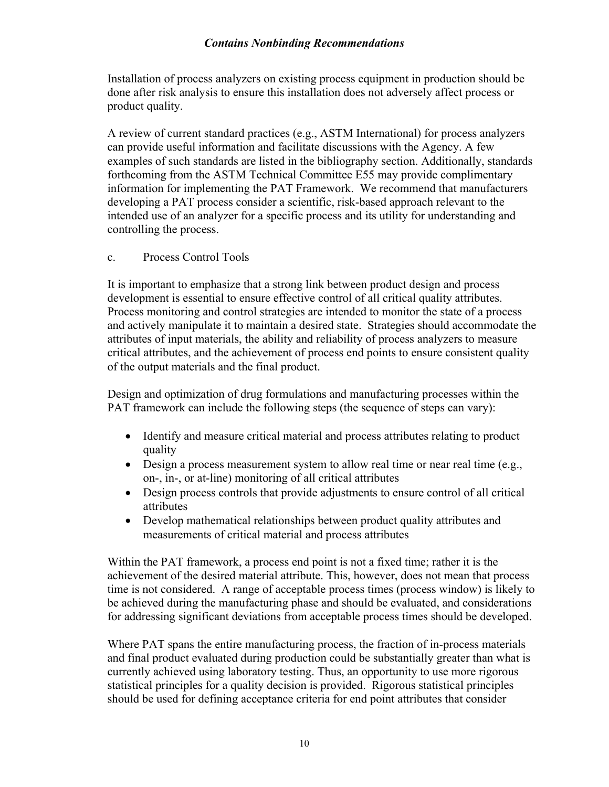Installation of process analyzers on existing process equipment in production should be done after risk analysis to ensure this installation does not adversely affect process or product quality.

A review of current standard practices (e.g., ASTM International) for process analyzers can provide useful information and facilitate discussions with the Agency. A few examples of such standards are listed in the bibliography section. Additionally, standards forthcoming from the ASTM Technical Committee E55 may provide complimentary information for implementing the PAT Framework. We recommend that manufacturers developing a PAT process consider a scientific, risk-based approach relevant to the intended use of an analyzer for a specific process and its utility for understanding and controlling the process.

#### c. Process Control Tools

It is important to emphasize that a strong link between product design and process development is essential to ensure effective control of all critical quality attributes. Process monitoring and control strategies are intended to monitor the state of a process and actively manipulate it to maintain a desired state. Strategies should accommodate the attributes of input materials, the ability and reliability of process analyzers to measure critical attributes, and the achievement of process end points to ensure consistent quality of the output materials and the final product.

Design and optimization of drug formulations and manufacturing processes within the PAT framework can include the following steps (the sequence of steps can vary):

- Identify and measure critical material and process attributes relating to product quality
- Design a process measurement system to allow real time or near real time (e.g., on-, in-, or at-line) monitoring of all critical attributes
- Design process controls that provide adjustments to ensure control of all critical attributes
- Develop mathematical relationships between product quality attributes and measurements of critical material and process attributes

Within the PAT framework, a process end point is not a fixed time; rather it is the achievement of the desired material attribute. This, however, does not mean that process time is not considered. A range of acceptable process times (process window) is likely to be achieved during the manufacturing phase and should be evaluated, and considerations for addressing significant deviations from acceptable process times should be developed.

Where PAT spans the entire manufacturing process, the fraction of in-process materials and final product evaluated during production could be substantially greater than what is currently achieved using laboratory testing. Thus, an opportunity to use more rigorous statistical principles for a quality decision is provided. Rigorous statistical principles should be used for defining acceptance criteria for end point attributes that consider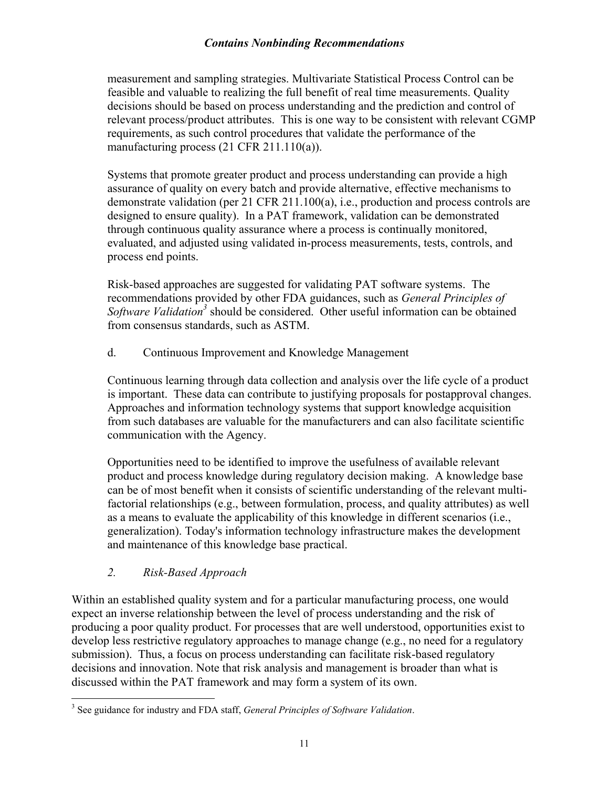<span id="page-13-0"></span>measurement and sampling strategies. Multivariate Statistical Process Control can be feasible and valuable to realizing the full benefit of real time measurements. Quality decisions should be based on process understanding and the prediction and control of relevant process/product attributes. This is one way to be consistent with relevant CGMP requirements, as such control procedures that validate the performance of the manufacturing process (21 CFR 211.110(a)).

Systems that promote greater product and process understanding can provide a high assurance of quality on every batch and provide alternative, effective mechanisms to demonstrate validation (per 21 CFR 211.100(a), i.e., production and process controls are designed to ensure quality). In a PAT framework, validation can be demonstrated through continuous quality assurance where a process is continually monitored, evaluated, and adjusted using validated in-process measurements, tests, controls, and process end points.

Risk-based approaches are suggested for validating PAT software systems. The recommendations provided by other FDA guidances, such as *General Principles of* Software Validation<sup>3</sup> should be considered. Other useful information can be obtained from consensus standards, such as ASTM.

d. Continuous Improvement and Knowledge Management

Continuous learning through data collection and analysis over the life cycle of a product is important. These data can contribute to justifying proposals for postapproval changes. Approaches and information technology systems that support knowledge acquisition from such databases are valuable for the manufacturers and can also facilitate scientific communication with the Agency.

Opportunities need to be identified to improve the usefulness of available relevant product and process knowledge during regulatory decision making. A knowledge base can be of most benefit when it consists of scientific understanding of the relevant multifactorial relationships (e.g., between formulation, process, and quality attributes) as well as a means to evaluate the applicability of this knowledge in different scenarios (i.e., generalization). Today's information technology infrastructure makes the development and maintenance of this knowledge base practical.

#### *2. Risk-Based Approach*

Within an established quality system and for a particular manufacturing process, one would expect an inverse relationship between the level of process understanding and the risk of producing a poor quality product. For processes that are well understood, opportunities exist to develop less restrictive regulatory approaches to manage change (e.g., no need for a regulatory submission). Thus, a focus on process understanding can facilitate risk-based regulatory decisions and innovation. Note that risk analysis and management is broader than what is discussed within the PAT framework and may form a system of its own.

<span id="page-13-1"></span> 3 See guidance for industry and FDA staff, *General Principles of Software Validation*.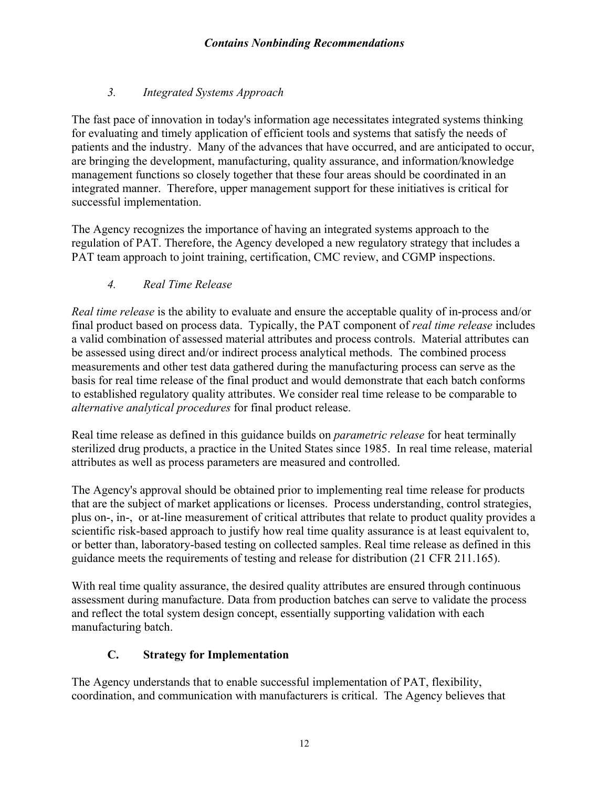# *3. Integrated Systems Approach*

<span id="page-14-0"></span>The fast pace of innovation in today's information age necessitates integrated systems thinking for evaluating and timely application of efficient tools and systems that satisfy the needs of patients and the industry. Many of the advances that have occurred, and are anticipated to occur, are bringing the development, manufacturing, quality assurance, and information/knowledge management functions so closely together that these four areas should be coordinated in an integrated manner. Therefore, upper management support for these initiatives is critical for successful implementation.

The Agency recognizes the importance of having an integrated systems approach to the regulation of PAT. Therefore, the Agency developed a new regulatory strategy that includes a PAT team approach to joint training, certification, CMC review, and CGMP inspections.

# *4. Real Time Release*

*Real time release* is the ability to evaluate and ensure the acceptable quality of in-process and/or final product based on process data. Typically, the PAT component of *real time release* includes a valid combination of assessed material attributes and process controls. Material attributes can be assessed using direct and/or indirect process analytical methods. The combined process measurements and other test data gathered during the manufacturing process can serve as the basis for real time release of the final product and would demonstrate that each batch conforms to established regulatory quality attributes. We consider real time release to be comparable to *alternative analytical procedures* for final product release.

Real time release as defined in this guidance builds on *parametric release* for heat terminally sterilized drug products, a practice in the United States since 1985. In real time release, material attributes as well as process parameters are measured and controlled.

The Agency's approval should be obtained prior to implementing real time release for products that are the subject of market applications or licenses. Process understanding, control strategies, plus on-, in-, or at-line measurement of critical attributes that relate to product quality provides a scientific risk-based approach to justify how real time quality assurance is at least equivalent to, or better than, laboratory-based testing on collected samples. Real time release as defined in this guidance meets the requirements of testing and release for distribution (21 CFR 211.165).

With real time quality assurance, the desired quality attributes are ensured through continuous assessment during manufacture. Data from production batches can serve to validate the process and reflect the total system design concept, essentially supporting validation with each manufacturing batch.

# **C. Strategy for Implementation**

The Agency understands that to enable successful implementation of PAT, flexibility, coordination, and communication with manufacturers is critical. The Agency believes that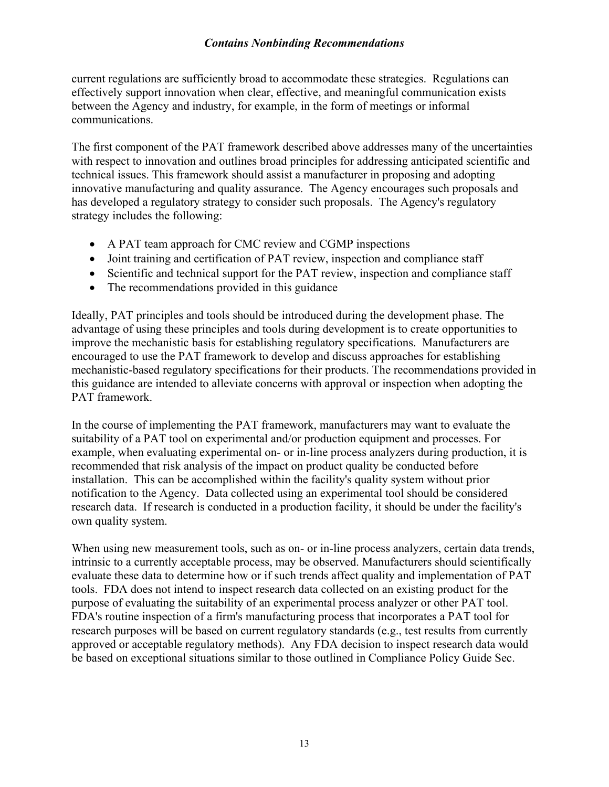current regulations are sufficiently broad to accommodate these strategies. Regulations can effectively support innovation when clear, effective, and meaningful communication exists between the Agency and industry, for example, in the form of meetings or informal communications.

The first component of the PAT framework described above addresses many of the uncertainties with respect to innovation and outlines broad principles for addressing anticipated scientific and technical issues. This framework should assist a manufacturer in proposing and adopting innovative manufacturing and quality assurance. The Agency encourages such proposals and has developed a regulatory strategy to consider such proposals. The Agency's regulatory strategy includes the following:

- A PAT team approach for CMC review and CGMP inspections
- Joint training and certification of PAT review, inspection and compliance staff
- Scientific and technical support for the PAT review, inspection and compliance staff
- The recommendations provided in this guidance

Ideally, PAT principles and tools should be introduced during the development phase. The advantage of using these principles and tools during development is to create opportunities to improve the mechanistic basis for establishing regulatory specifications. Manufacturers are encouraged to use the PAT framework to develop and discuss approaches for establishing mechanistic-based regulatory specifications for their products. The recommendations provided in this guidance are intended to alleviate concerns with approval or inspection when adopting the PAT framework.

In the course of implementing the PAT framework, manufacturers may want to evaluate the suitability of a PAT tool on experimental and/or production equipment and processes. For example, when evaluating experimental on- or in-line process analyzers during production, it is recommended that risk analysis of the impact on product quality be conducted before installation. This can be accomplished within the facility's quality system without prior notification to the Agency. Data collected using an experimental tool should be considered research data. If research is conducted in a production facility, it should be under the facility's own quality system.

When using new measurement tools, such as on- or in-line process analyzers, certain data trends, intrinsic to a currently acceptable process, may be observed. Manufacturers should scientifically evaluate these data to determine how or if such trends affect quality and implementation of PAT tools. FDA does not intend to inspect research data collected on an existing product for the purpose of evaluating the suitability of an experimental process analyzer or other PAT tool. FDA's routine inspection of a firm's manufacturing process that incorporates a PAT tool for research purposes will be based on current regulatory standards (e.g., test results from currently approved or acceptable regulatory methods). Any FDA decision to inspect research data would be based on exceptional situations similar to those outlined in Compliance Policy Guide Sec.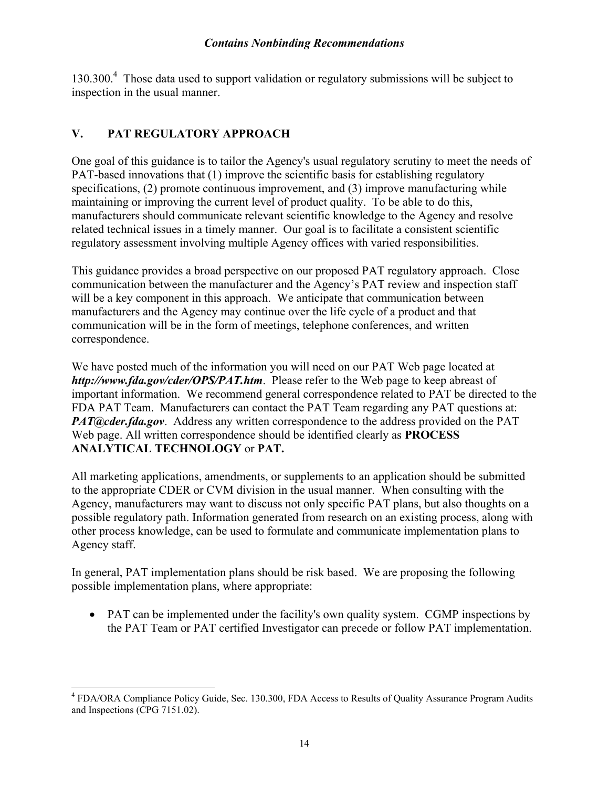<span id="page-16-0"></span>130.300.<sup>[4](#page-16-1)</sup> Those data used to support validation or regulatory submissions will be subject to inspection in the usual manner.

# **V. PAT REGULATORY APPROACH**

1

One goal of this guidance is to tailor the Agency's usual regulatory scrutiny to meet the needs of PAT-based innovations that (1) improve the scientific basis for establishing regulatory specifications, (2) promote continuous improvement, and (3) improve manufacturing while maintaining or improving the current level of product quality. To be able to do this, manufacturers should communicate relevant scientific knowledge to the Agency and resolve related technical issues in a timely manner. Our goal is to facilitate a consistent scientific regulatory assessment involving multiple Agency offices with varied responsibilities.

This guidance provides a broad perspective on our proposed PAT regulatory approach. Close communication between the manufacturer and the Agency's PAT review and inspection staff will be a key component in this approach. We anticipate that communication between manufacturers and the Agency may continue over the life cycle of a product and that communication will be in the form of meetings, telephone conferences, and written correspondence.

We have posted much of the information you will need on our PAT Web page located at *http://www.fda.gov/cder/OPS/PAT.htm*. Please refer to the Web page to keep abreast of important information. We recommend general correspondence related to PAT be directed to the FDA PAT Team. Manufacturers can contact the PAT Team regarding any PAT questions at: *PAT@cder.fda.gov.* Address any written correspondence to the address provided on the PAT Web page. All written correspondence should be identified clearly as **PROCESS ANALYTICAL TECHNOLOGY** or **PAT.**

All marketing applications, amendments, or supplements to an application should be submitted to the appropriate CDER or CVM division in the usual manner. When consulting with the Agency, manufacturers may want to discuss not only specific PAT plans, but also thoughts on a possible regulatory path. Information generated from research on an existing process, along with other process knowledge, can be used to formulate and communicate implementation plans to Agency staff.

In general, PAT implementation plans should be risk based. We are proposing the following possible implementation plans, where appropriate:

• PAT can be implemented under the facility's own quality system. CGMP inspections by the PAT Team or PAT certified Investigator can precede or follow PAT implementation.

<span id="page-16-1"></span><sup>&</sup>lt;sup>4</sup> FDA/ORA Compliance Policy Guide, Sec. 130.300, FDA Access to Results of Quality Assurance Program Audits and Inspections (CPG 7151.02).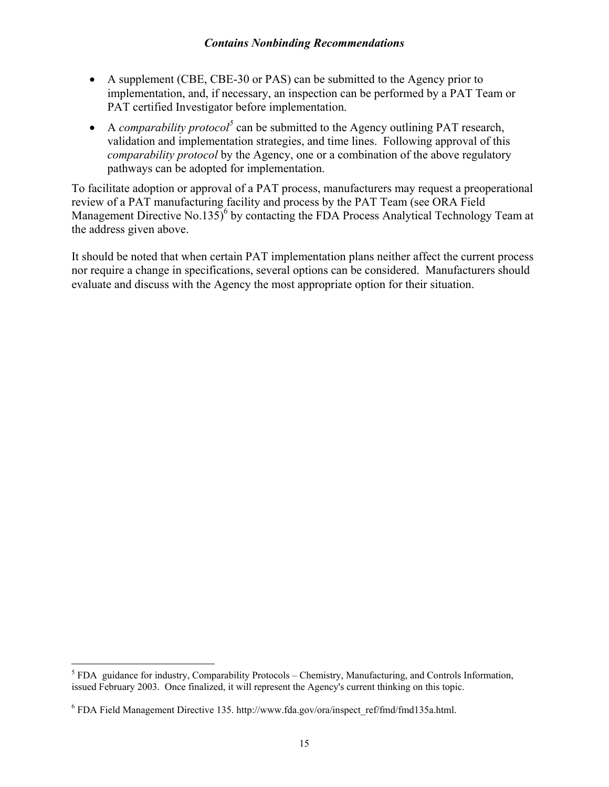- A supplement (CBE, CBE-30 or PAS) can be submitted to the Agency prior to implementation, and, if necessary, an inspection can be performed by a PAT Team or PAT certified Investigator before implementation.
- A *comparability protocol*<sup>[5](#page-17-0)</sup> can be submitted to the Agency outlining PAT research, validation and implementation strategies, and time lines. Following approval of this *comparability protocol* by the Agency, one or a combination of the above regulatory pathways can be adopted for implementation.

To facilitate adoption or approval of a PAT process, manufacturers may request a preoperational review of a PAT manufacturing facility and process by the PAT Team (see ORA Field Management Directive No.135)<sup>6</sup> by contacting the FDA Process Analytical Technology Team at the address given above.

It should be noted that when certain PAT implementation plans neither affect the current process nor require a change in specifications, several options can be considered. Manufacturers should evaluate and discuss with the Agency the most appropriate option for their situation.

<u>.</u>

<span id="page-17-0"></span> $<sup>5</sup>$  FDA guidance for industry, Comparability Protocols – Chemistry, Manufacturing, and Controls Information,</sup> issued February 2003. Once finalized, it will represent the Agency's current thinking on this topic.

<span id="page-17-1"></span> $6$  FDA Field Management Directive 135. http://www.fda.gov/ora/inspect\_ref/fmd/fmd135a.html.